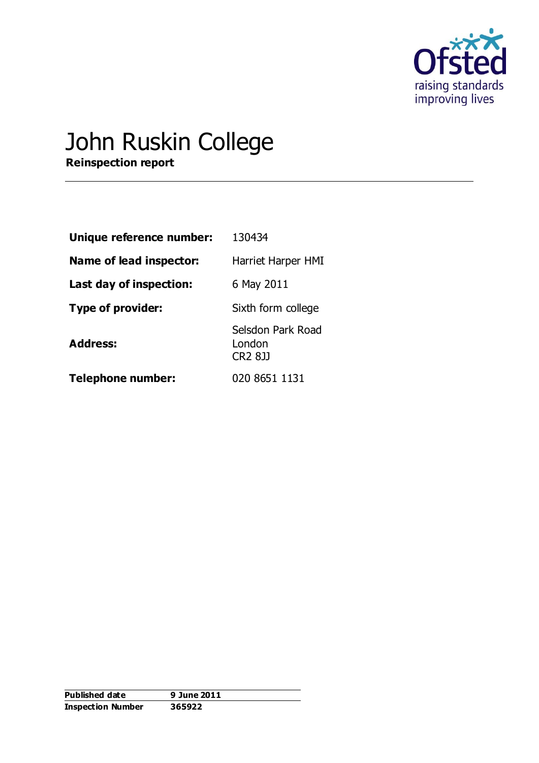

# John Ruskin College

**Reinspection report**

| Unique reference number: | 130434                                        |
|--------------------------|-----------------------------------------------|
| Name of lead inspector:  | Harriet Harper HMI                            |
| Last day of inspection:  | 6 May 2011                                    |
| Type of provider:        | Sixth form college                            |
| <b>Address:</b>          | Selsdon Park Road<br>London<br><b>CR2 8JJ</b> |
| <b>Telephone number:</b> | 020 8651 1131                                 |

| <b>Published date</b>    | 9 June 2011 |
|--------------------------|-------------|
| <b>Inspection Number</b> | 365922      |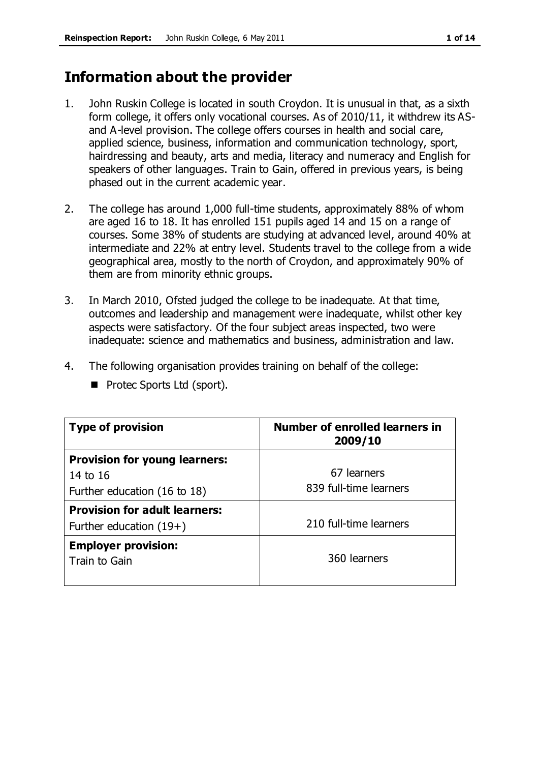# **Information about the provider**

- 1. John Ruskin College is located in south Croydon. It is unusual in that, as a sixth form college, it offers only vocational courses. As of 2010/11, it withdrew its ASand A-level provision. The college offers courses in health and social care, applied science, business, information and communication technology, sport, hairdressing and beauty, arts and media, literacy and numeracy and English for speakers of other languages. Train to Gain, offered in previous years, is being phased out in the current academic year.
- 2. The college has around 1,000 full-time students, approximately 88% of whom are aged 16 to 18. It has enrolled 151 pupils aged 14 and 15 on a range of courses. Some 38% of students are studying at advanced level, around 40% at intermediate and 22% at entry level. Students travel to the college from a wide geographical area, mostly to the north of Croydon, and approximately 90% of them are from minority ethnic groups.
- 3. In March 2010, Ofsted judged the college to be inadequate. At that time, outcomes and leadership and management were inadequate, whilst other key aspects were satisfactory. Of the four subject areas inspected, two were inadequate: science and mathematics and business, administration and law.
- 4. The following organisation provides training on behalf of the college:

| <b>Type of provision</b>             | <b>Number of enrolled learners in</b><br>2009/10 |
|--------------------------------------|--------------------------------------------------|
| <b>Provision for young learners:</b> |                                                  |
| 14 to 16                             | 67 learners                                      |
| Further education (16 to 18)         | 839 full-time learners                           |
| <b>Provision for adult learners:</b> |                                                  |
| Further education $(19+)$            | 210 full-time learners                           |
| <b>Employer provision:</b>           |                                                  |
| Train to Gain                        | 360 learners                                     |
|                                      |                                                  |

Protec Sports Ltd (sport).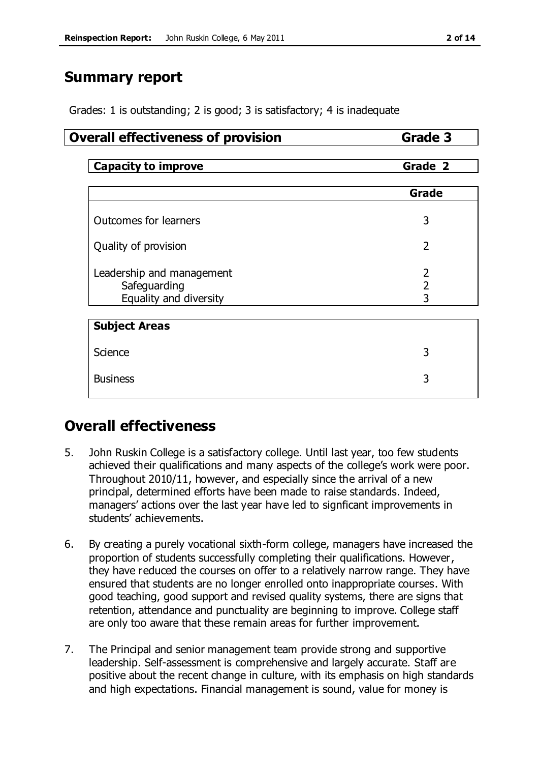# **Summary report**

Grades: 1 is outstanding; 2 is good; 3 is satisfactory; 4 is inadequate

# **Overall effectiveness of provision Grade 3**

**Capacity to improve Grade 2** 

|                                                                     | Grade                    |
|---------------------------------------------------------------------|--------------------------|
| Outcomes for learners                                               | 3                        |
| Quality of provision                                                | $\overline{2}$           |
| Leadership and management<br>Safeguarding<br>Equality and diversity | 2<br>$\overline{2}$<br>3 |
| <b>Subject Areas</b>                                                |                          |
| Science                                                             | 3                        |
| <b>Business</b>                                                     | 3                        |

# **Overall effectiveness**

- 5. John Ruskin College is a satisfactory college. Until last year, too few students achieved their qualifications and many aspects of the college's work were poor. Throughout 2010/11, however, and especially since the arrival of a new principal, determined efforts have been made to raise standards. Indeed, managers' actions over the last year have led to signficant improvements in students' achievements.
- 6. By creating a purely vocational sixth-form college, managers have increased the proportion of students successfully completing their qualifications. However, they have reduced the courses on offer to a relatively narrow range. They have ensured that students are no longer enrolled onto inappropriate courses. With good teaching, good support and revised quality systems, there are signs that retention, attendance and punctuality are beginning to improve. College staff are only too aware that these remain areas for further improvement.
- 7. The Principal and senior management team provide strong and supportive leadership. Self-assessment is comprehensive and largely accurate. Staff are positive about the recent change in culture, with its emphasis on high standards and high expectations. Financial management is sound, value for money is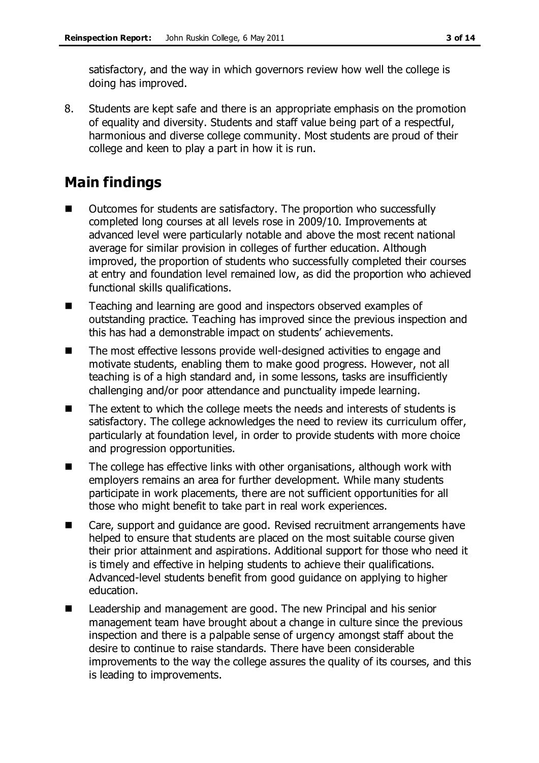satisfactory, and the way in which governors review how well the college is doing has improved.

8. Students are kept safe and there is an appropriate emphasis on the promotion of equality and diversity. Students and staff value being part of a respectful, harmonious and diverse college community. Most students are proud of their college and keen to play a part in how it is run.

# **Main findings**

- Outcomes for students are satisfactory. The proportion who successfully completed long courses at all levels rose in 2009/10. Improvements at advanced level were particularly notable and above the most recent national average for similar provision in colleges of further education. Although improved, the proportion of students who successfully completed their courses at entry and foundation level remained low, as did the proportion who achieved functional skills qualifications.
- Teaching and learning are good and inspectors observed examples of outstanding practice. Teaching has improved since the previous inspection and this has had a demonstrable impact on students' achievements.
- The most effective lessons provide well-designed activities to engage and motivate students, enabling them to make good progress. However, not all teaching is of a high standard and, in some lessons, tasks are insufficiently challenging and/or poor attendance and punctuality impede learning.
- The extent to which the college meets the needs and interests of students is satisfactory. The college acknowledges the need to review its curriculum offer, particularly at foundation level, in order to provide students with more choice and progression opportunities.
- $\blacksquare$  The college has effective links with other organisations, although work with employers remains an area for further development. While many students participate in work placements, there are not sufficient opportunities for all those who might benefit to take part in real work experiences.
- Care, support and guidance are good. Revised recruitment arrangements have helped to ensure that students are placed on the most suitable course given their prior attainment and aspirations. Additional support for those who need it is timely and effective in helping students to achieve their qualifications. Advanced-level students benefit from good guidance on applying to higher education.
- Leadership and management are good. The new Principal and his senior management team have brought about a change in culture since the previous inspection and there is a palpable sense of urgency amongst staff about the desire to continue to raise standards. There have been considerable improvements to the way the college assures the quality of its courses, and this is leading to improvements.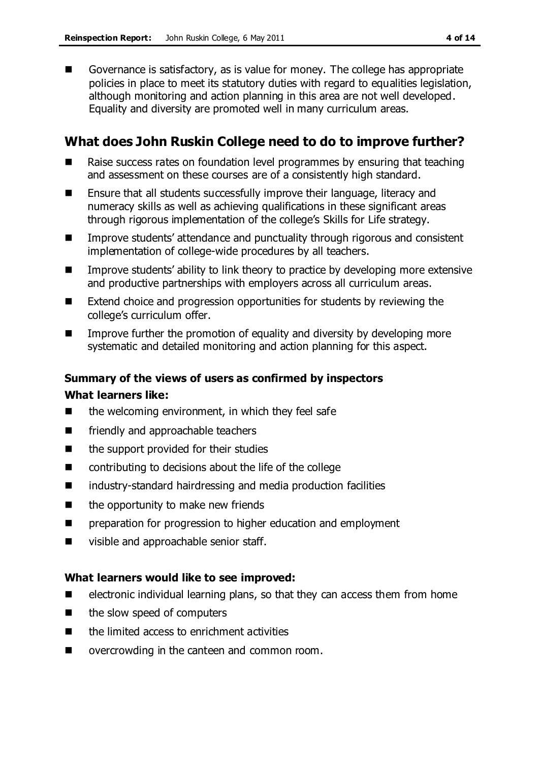Governance is satisfactory, as is value for money. The college has appropriate policies in place to meet its statutory duties with regard to equalities legislation, although monitoring and action planning in this area are not well developed. Equality and diversity are promoted well in many curriculum areas.

# **What does John Ruskin College need to do to improve further?**

- Raise success rates on foundation level programmes by ensuring that teaching and assessment on these courses are of a consistently high standard.
- **E** Ensure that all students successfully improve their language, literacy and numeracy skills as well as achieving qualifications in these significant areas through rigorous implementation of the college's Skills for Life strategy.
- Improve students' attendance and punctuality through rigorous and consistent implementation of college-wide procedures by all teachers.
- **IMPROVE STARES** in the link theory to practice by developing more extensive and productive partnerships with employers across all curriculum areas.
- Extend choice and progression opportunities for students by reviewing the college's curriculum offer.
- Improve further the promotion of equality and diversity by developing more systematic and detailed monitoring and action planning for this aspect.

### **Summary of the views of users as confirmed by inspectors**

### **What learners like:**

- $\blacksquare$  the welcoming environment, in which they feel safe
- **EXECUTE:** friendly and approachable teachers
- $\blacksquare$  the support provided for their studies
- contributing to decisions about the life of the college
- industry-standard hairdressing and media production facilities
- $\blacksquare$  the opportunity to make new friends
- **EXECUTE:** preparation for progression to higher education and employment
- visible and approachable senior staff.

### **What learners would like to see improved:**

- $\blacksquare$  electronic individual learning plans, so that they can access them from home
- $\blacksquare$  the slow speed of computers
- $\blacksquare$  the limited access to enrichment activities
- overcrowding in the canteen and common room.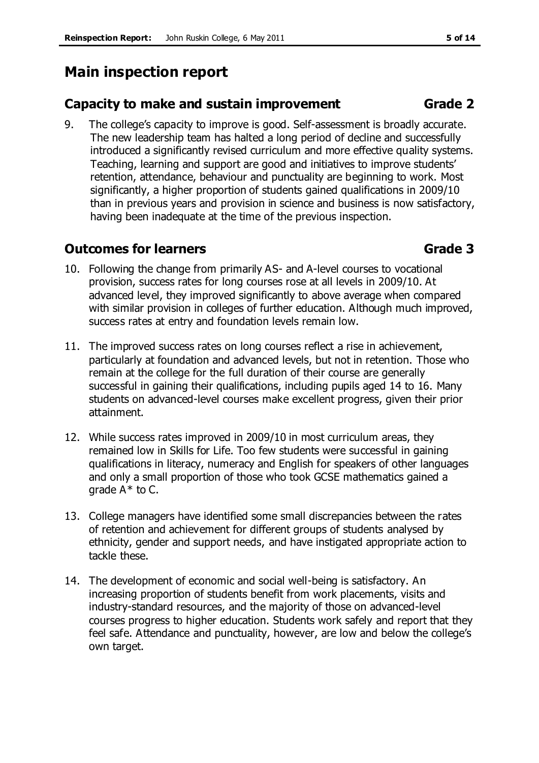# **Main inspection report**

# **Capacity to make and sustain improvement Grade 2**

9. The college's capacity to improve is good. Self-assessment is broadly accurate. The new leadership team has halted a long period of decline and successfully introduced a significantly revised curriculum and more effective quality systems. Teaching, learning and support are good and initiatives to improve students' retention, attendance, behaviour and punctuality are beginning to work. Most significantly, a higher proportion of students gained qualifications in 2009/10 than in previous years and provision in science and business is now satisfactory, having been inadequate at the time of the previous inspection.

# **Outcomes for learners Grade 3**

- 10. Following the change from primarily AS- and A-level courses to vocational provision, success rates for long courses rose at all levels in 2009/10. At advanced level, they improved significantly to above average when compared with similar provision in colleges of further education. Although much improved, success rates at entry and foundation levels remain low.
- 11. The improved success rates on long courses reflect a rise in achievement, particularly at foundation and advanced levels, but not in retention. Those who remain at the college for the full duration of their course are generally successful in gaining their qualifications, including pupils aged 14 to 16. Many students on advanced-level courses make excellent progress, given their prior attainment.
- 12. While success rates improved in 2009/10 in most curriculum areas, they remained low in Skills for Life. Too few students were successful in gaining qualifications in literacy, numeracy and English for speakers of other languages and only a small proportion of those who took GCSE mathematics gained a grade A\* to C.
- 13. College managers have identified some small discrepancies between the rates of retention and achievement for different groups of students analysed by ethnicity, gender and support needs, and have instigated appropriate action to tackle these.
- 14. The development of economic and social well-being is satisfactory. An increasing proportion of students benefit from work placements, visits and industry-standard resources, and the majority of those on advanced-level courses progress to higher education. Students work safely and report that they feel safe. Attendance and punctuality, however, are low and below the college's own target.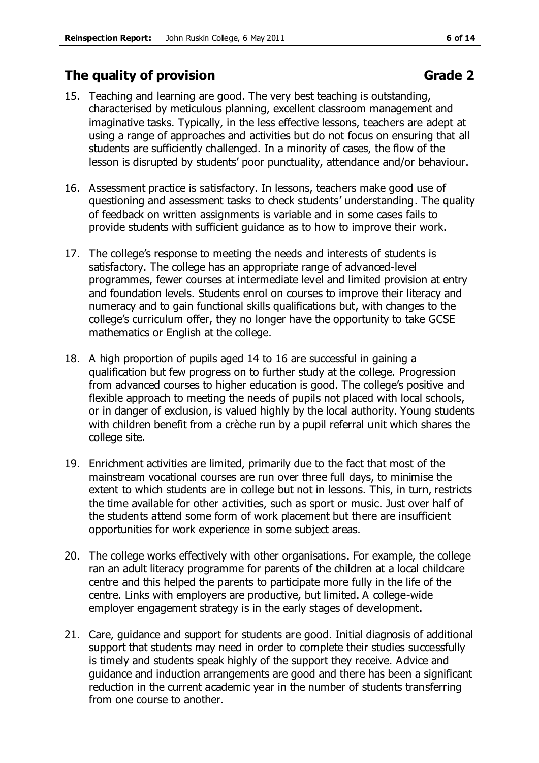# **The quality of provision Grade 2**

- 15. Teaching and learning are good. The very best teaching is outstanding, characterised by meticulous planning, excellent classroom management and imaginative tasks. Typically, in the less effective lessons, teachers are adept at using a range of approaches and activities but do not focus on ensuring that all students are sufficiently challenged. In a minority of cases, the flow of the lesson is disrupted by students' poor punctuality, attendance and/or behaviour.
- 16. Assessment practice is satisfactory. In lessons, teachers make good use of questioning and assessment tasks to check students' understanding. The quality of feedback on written assignments is variable and in some cases fails to provide students with sufficient guidance as to how to improve their work.
- 17. The college's response to meeting the needs and interests of students is satisfactory. The college has an appropriate range of advanced-level programmes, fewer courses at intermediate level and limited provision at entry and foundation levels. Students enrol on courses to improve their literacy and numeracy and to gain functional skills qualifications but, with changes to the college's curriculum offer, they no longer have the opportunity to take GCSE mathematics or English at the college.
- 18. A high proportion of pupils aged 14 to 16 are successful in gaining a qualification but few progress on to further study at the college. Progression from advanced courses to higher education is good. The college's positive and flexible approach to meeting the needs of pupils not placed with local schools, or in danger of exclusion, is valued highly by the local authority. Young students with children benefit from a crèche run by a pupil referral unit which shares the college site.
- 19. Enrichment activities are limited, primarily due to the fact that most of the mainstream vocational courses are run over three full days, to minimise the extent to which students are in college but not in lessons. This, in turn, restricts the time available for other activities, such as sport or music. Just over half of the students attend some form of work placement but there are insufficient opportunities for work experience in some subject areas.
- 20. The college works effectively with other organisations. For example, the college ran an adult literacy programme for parents of the children at a local childcare centre and this helped the parents to participate more fully in the life of the centre. Links with employers are productive, but limited. A college-wide employer engagement strategy is in the early stages of development.
- 21. Care, guidance and support for students are good. Initial diagnosis of additional support that students may need in order to complete their studies successfully is timely and students speak highly of the support they receive. Advice and guidance and induction arrangements are good and there has been a significant reduction in the current academic year in the number of students transferring from one course to another.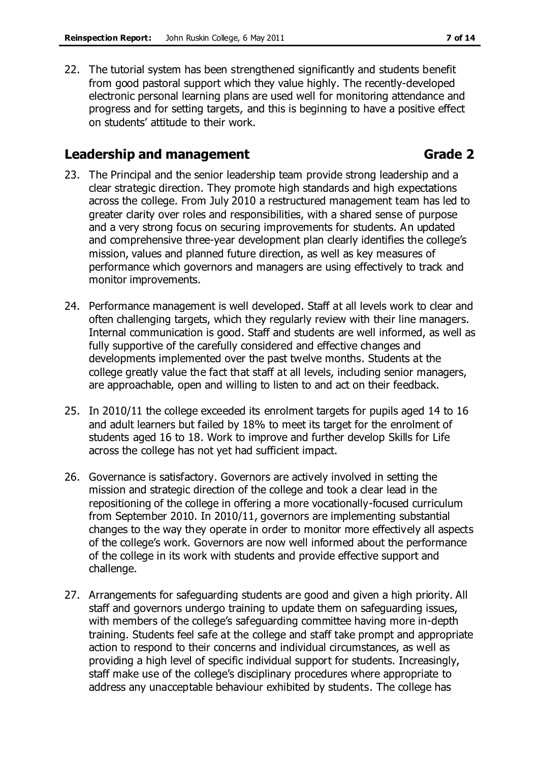22. The tutorial system has been strengthened significantly and students benefit from good pastoral support which they value highly. The recently-developed electronic personal learning plans are used well for monitoring attendance and progress and for setting targets, and this is beginning to have a positive effect on students' attitude to their work.

## **Leadership and management Grade 2**

- 23. The Principal and the senior leadership team provide strong leadership and a clear strategic direction. They promote high standards and high expectations across the college. From July 2010 a restructured management team has led to greater clarity over roles and responsibilities, with a shared sense of purpose and a very strong focus on securing improvements for students. An updated and comprehensive three-year development plan clearly identifies the college's mission, values and planned future direction, as well as key measures of performance which governors and managers are using effectively to track and monitor improvements.
- 24. Performance management is well developed. Staff at all levels work to clear and often challenging targets, which they regularly review with their line managers. Internal communication is good. Staff and students are well informed, as well as fully supportive of the carefully considered and effective changes and developments implemented over the past twelve months. Students at the college greatly value the fact that staff at all levels, including senior managers, are approachable, open and willing to listen to and act on their feedback.
- 25. In 2010/11 the college exceeded its enrolment targets for pupils aged 14 to 16 and adult learners but failed by 18% to meet its target for the enrolment of students aged 16 to 18. Work to improve and further develop Skills for Life across the college has not yet had sufficient impact.
- 26. Governance is satisfactory. Governors are actively involved in setting the mission and strategic direction of the college and took a clear lead in the repositioning of the college in offering a more vocationally-focused curriculum from September 2010. In 2010/11, governors are implementing substantial changes to the way they operate in order to monitor more effectively all aspects of the college's work. Governors are now well informed about the performance of the college in its work with students and provide effective support and challenge.
- 27. Arrangements for safeguarding students are good and given a high priority. All staff and governors undergo training to update them on safeguarding issues, with members of the college's safeguarding committee having more in-depth training. Students feel safe at the college and staff take prompt and appropriate action to respond to their concerns and individual circumstances, as well as providing a high level of specific individual support for students. Increasingly, staff make use of the college's disciplinary procedures where appropriate to address any unacceptable behaviour exhibited by students. The college has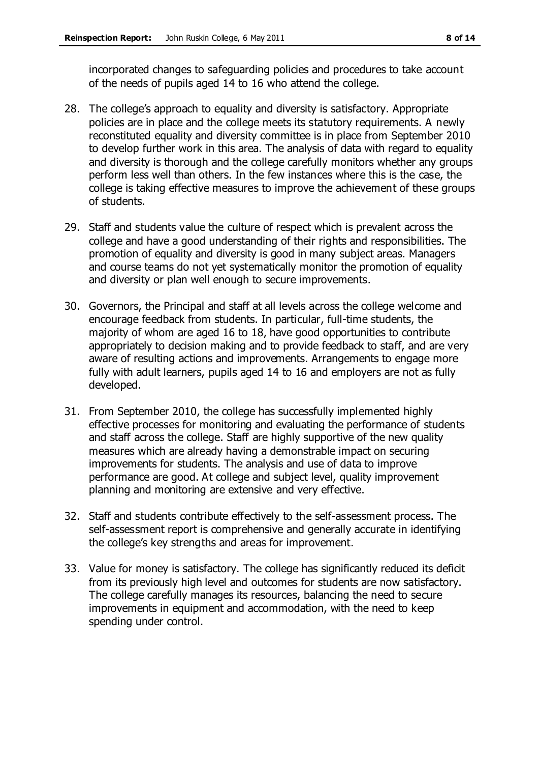incorporated changes to safeguarding policies and procedures to take account of the needs of pupils aged 14 to 16 who attend the college.

- 28. The college's approach to equality and diversity is satisfactory. Appropriate policies are in place and the college meets its statutory requirements. A newly reconstituted equality and diversity committee is in place from September 2010 to develop further work in this area. The analysis of data with regard to equality and diversity is thorough and the college carefully monitors whether any groups perform less well than others. In the few instances where this is the case, the college is taking effective measures to improve the achievement of these groups of students.
- 29. Staff and students value the culture of respect which is prevalent across the college and have a good understanding of their rights and responsibilities. The promotion of equality and diversity is good in many subject areas. Managers and course teams do not yet systematically monitor the promotion of equality and diversity or plan well enough to secure improvements.
- 30. Governors, the Principal and staff at all levels across the college welcome and encourage feedback from students. In particular, full-time students, the majority of whom are aged 16 to 18, have good opportunities to contribute appropriately to decision making and to provide feedback to staff, and are very aware of resulting actions and improvements. Arrangements to engage more fully with adult learners, pupils aged 14 to 16 and employers are not as fully developed.
- 31. From September 2010, the college has successfully implemented highly effective processes for monitoring and evaluating the performance of students and staff across the college. Staff are highly supportive of the new quality measures which are already having a demonstrable impact on securing improvements for students. The analysis and use of data to improve performance are good. At college and subject level, quality improvement planning and monitoring are extensive and very effective.
- 32. Staff and students contribute effectively to the self-assessment process. The self-assessment report is comprehensive and generally accurate in identifying the college's key strengths and areas for improvement.
- 33. Value for money is satisfactory. The college has significantly reduced its deficit from its previously high level and outcomes for students are now satisfactory. The college carefully manages its resources, balancing the need to secure improvements in equipment and accommodation, with the need to keep spending under control.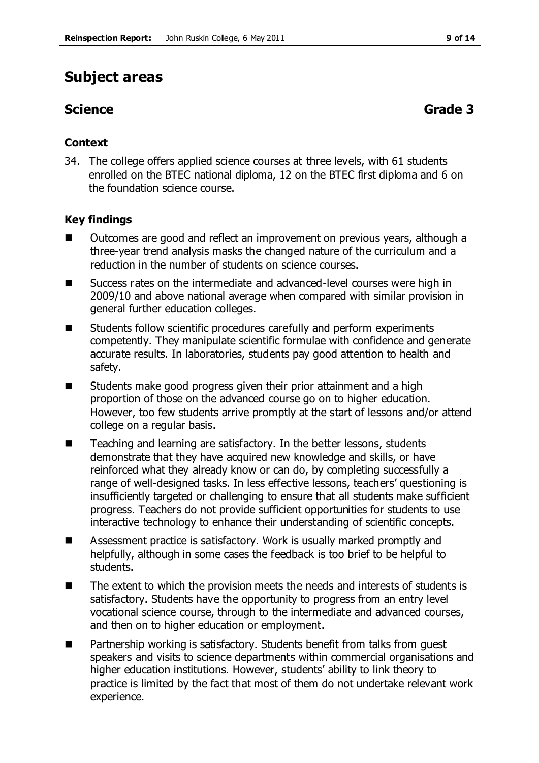# **Subject areas**

# **Science Grade 3**

### **Context**

34. The college offers applied science courses at three levels, with 61 students enrolled on the BTEC national diploma, 12 on the BTEC first diploma and 6 on the foundation science course.

### **Key findings**

- **Deta** Outcomes are good and reflect an improvement on previous years, although a three-year trend analysis masks the changed nature of the curriculum and a reduction in the number of students on science courses.
- Success rates on the intermediate and advanced-level courses were high in 2009/10 and above national average when compared with similar provision in general further education colleges.
- Students follow scientific procedures carefully and perform experiments competently. They manipulate scientific formulae with confidence and generate accurate results. In laboratories, students pay good attention to health and safety.
- Students make good progress given their prior attainment and a high proportion of those on the advanced course go on to higher education. However, too few students arrive promptly at the start of lessons and/or attend college on a regular basis.
- Teaching and learning are satisfactory. In the better lessons, students demonstrate that they have acquired new knowledge and skills, or have reinforced what they already know or can do, by completing successfully a range of well-designed tasks. In less effective lessons, teachers' questioning is insufficiently targeted or challenging to ensure that all students make sufficient progress. Teachers do not provide sufficient opportunities for students to use interactive technology to enhance their understanding of scientific concepts.
- Assessment practice is satisfactory. Work is usually marked promptly and helpfully, although in some cases the feedback is too brief to be helpful to students.
- The extent to which the provision meets the needs and interests of students is satisfactory. Students have the opportunity to progress from an entry level vocational science course, through to the intermediate and advanced courses, and then on to higher education or employment.
- Partnership working is satisfactory. Students benefit from talks from guest speakers and visits to science departments within commercial organisations and higher education institutions. However, students' ability to link theory to practice is limited by the fact that most of them do not undertake relevant work experience.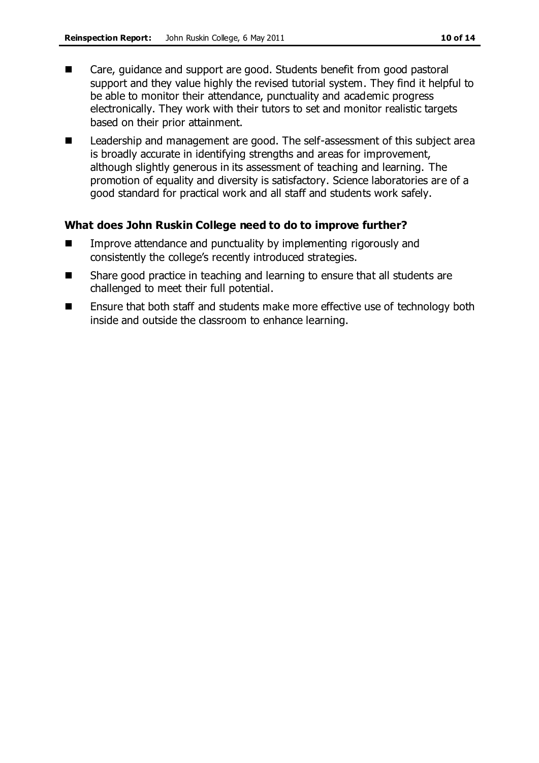- Care, guidance and support are good. Students benefit from good pastoral support and they value highly the revised tutorial system. They find it helpful to be able to monitor their attendance, punctuality and academic progress electronically. They work with their tutors to set and monitor realistic targets based on their prior attainment.
- Leadership and management are good. The self-assessment of this subject area is broadly accurate in identifying strengths and areas for improvement, although slightly generous in its assessment of teaching and learning. The promotion of equality and diversity is satisfactory. Science laboratories are of a good standard for practical work and all staff and students work safely.

### **What does John Ruskin College need to do to improve further?**

- Improve attendance and punctuality by implementing rigorously and consistently the college's recently introduced strategies.
- Share good practice in teaching and learning to ensure that all students are challenged to meet their full potential.
- Ensure that both staff and students make more effective use of technology both inside and outside the classroom to enhance learning.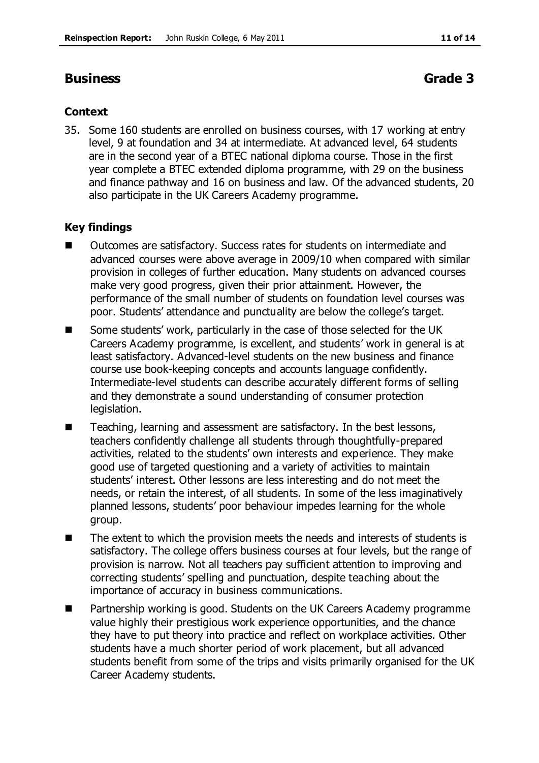## **Business Grade 3**

### **Context**

35. Some 160 students are enrolled on business courses, with 17 working at entry level, 9 at foundation and 34 at intermediate. At advanced level, 64 students are in the second year of a BTEC national diploma course. Those in the first year complete a BTEC extended diploma programme, with 29 on the business and finance pathway and 16 on business and law. Of the advanced students, 20 also participate in the UK Careers Academy programme.

### **Key findings**

- Outcomes are satisfactory. Success rates for students on intermediate and advanced courses were above average in 2009/10 when compared with similar provision in colleges of further education. Many students on advanced courses make very good progress, given their prior attainment. However, the performance of the small number of students on foundation level courses was poor. Students' attendance and punctuality are below the college's target.
- Some students' work, particularly in the case of those selected for the UK Careers Academy programme, is excellent, and students' work in general is at least satisfactory. Advanced-level students on the new business and finance course use book-keeping concepts and accounts language confidently. Intermediate-level students can describe accurately different forms of selling and they demonstrate a sound understanding of consumer protection legislation.
- Teaching, learning and assessment are satisfactory. In the best lessons, teachers confidently challenge all students through thoughtfully-prepared activities, related to the students' own interests and experience. They make good use of targeted questioning and a variety of activities to maintain students' interest. Other lessons are less interesting and do not meet the needs, or retain the interest, of all students. In some of the less imaginatively planned lessons, students' poor behaviour impedes learning for the whole group.
- The extent to which the provision meets the needs and interests of students is satisfactory. The college offers business courses at four levels, but the range of provision is narrow. Not all teachers pay sufficient attention to improving and correcting students' spelling and punctuation, despite teaching about the importance of accuracy in business communications.
- Partnership working is good. Students on the UK Careers Academy programme value highly their prestigious work experience opportunities, and the chance they have to put theory into practice and reflect on workplace activities. Other students have a much shorter period of work placement, but all advanced students benefit from some of the trips and visits primarily organised for the UK Career Academy students.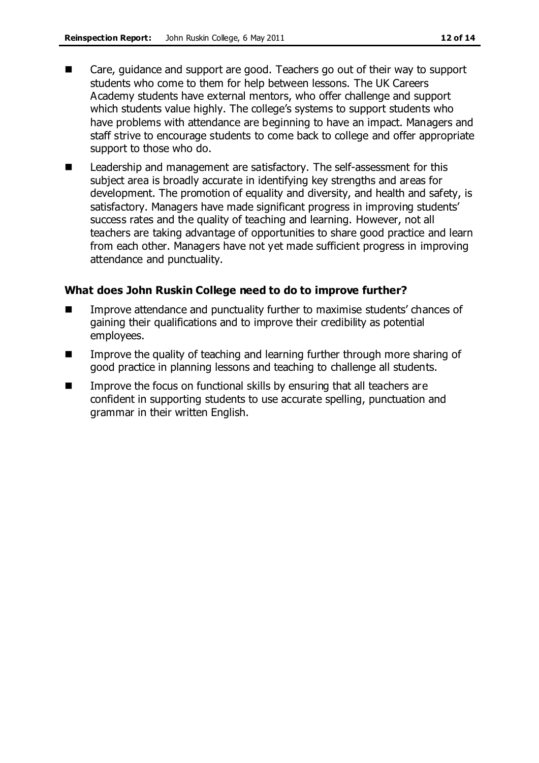- Care, guidance and support are good. Teachers go out of their way to support students who come to them for help between lessons. The UK Careers Academy students have external mentors, who offer challenge and support which students value highly. The college's systems to support students who have problems with attendance are beginning to have an impact. Managers and staff strive to encourage students to come back to college and offer appropriate support to those who do.
- Leadership and management are satisfactory. The self-assessment for this subject area is broadly accurate in identifying key strengths and areas for development. The promotion of equality and diversity, and health and safety, is satisfactory. Managers have made significant progress in improving students' success rates and the quality of teaching and learning. However, not all teachers are taking advantage of opportunities to share good practice and learn from each other. Managers have not yet made sufficient progress in improving attendance and punctuality.

### **What does John Ruskin College need to do to improve further?**

- Improve attendance and punctuality further to maximise students' chances of gaining their qualifications and to improve their credibility as potential employees.
- Improve the quality of teaching and learning further through more sharing of good practice in planning lessons and teaching to challenge all students.
- $\blacksquare$  Improve the focus on functional skills by ensuring that all teachers are confident in supporting students to use accurate spelling, punctuation and grammar in their written English.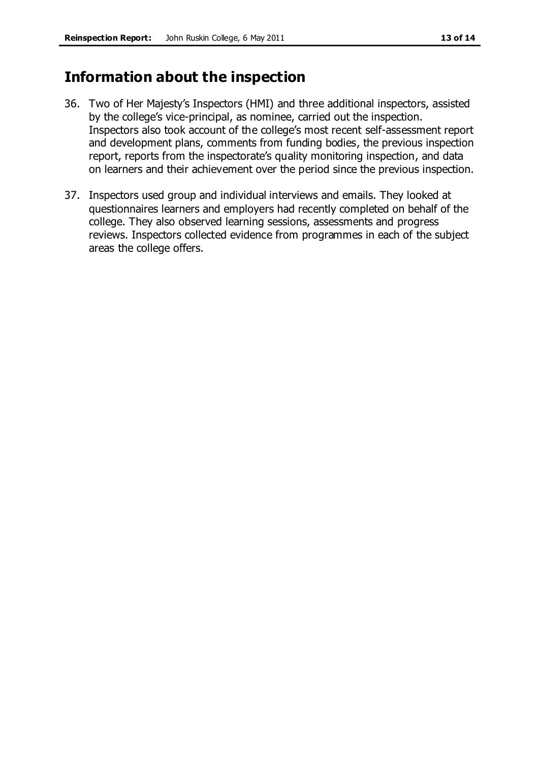# **Information about the inspection**

- 36. Two of Her Majesty's Inspectors (HMI) and three additional inspectors, assisted by the college's vice-principal, as nominee, carried out the inspection. Inspectors also took account of the college's most recent self-assessment report and development plans, comments from funding bodies, the previous inspection report, reports from the inspectorate's quality monitoring inspection, and data on learners and their achievement over the period since the previous inspection.
- 37. Inspectors used group and individual interviews and emails. They looked at questionnaires learners and employers had recently completed on behalf of the college. They also observed learning sessions, assessments and progress reviews. Inspectors collected evidence from programmes in each of the subject areas the college offers.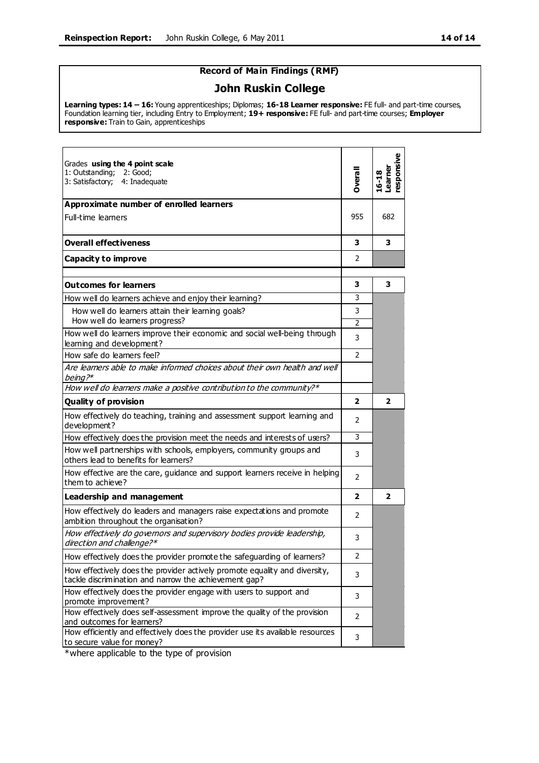### **Record of Main Findings (RMF)**

### **John Ruskin College**

**Learning types: 14 – 16:** Young apprenticeships; Diplomas; **16-18 Learner responsive:** FE full- and part-time courses, Foundation learning tier, including Entry to Employment; **19+ responsive:** FE full- and part-time courses; **Employer responsive:** Train to Gain, apprenticeships

| Grades using the 4 point scale<br>1: Outstanding;<br>2: Good:<br>3: Satisfactory;<br>4: Inadequate                                  | Dverall        | esponsive<br>earner<br>$16 - 18$ |
|-------------------------------------------------------------------------------------------------------------------------------------|----------------|----------------------------------|
| Approximate number of enrolled learners                                                                                             |                |                                  |
| Full-time learners                                                                                                                  | 955            | 682                              |
| <b>Overall effectiveness</b>                                                                                                        | 3              | 3                                |
| Capacity to improve                                                                                                                 | $\mathcal{P}$  |                                  |
| Outcomes for learners                                                                                                               | 3              | 3                                |
| How well do learners achieve and enjoy their learning?                                                                              | 3              |                                  |
| How well do learners attain their learning goals?<br>How well do learners progress?                                                 | 3              |                                  |
| How well do learners improve their economic and social well-being through                                                           | 2              |                                  |
| learning and development?                                                                                                           | 3              |                                  |
| How safe do learners feel?                                                                                                          | $\mathcal{P}$  |                                  |
| Are learners able to make informed choices about their own health and well<br>being?*                                               |                |                                  |
| How well do learners make a positive contribution to the community?*                                                                |                |                                  |
| Quality of provision                                                                                                                | 2              | 2                                |
| How effectively do teaching, training and assessment support learning and<br>development?                                           | 2              |                                  |
| How effectively does the provision meet the needs and interests of users?                                                           | 3              |                                  |
| How well partnerships with schools, employers, community groups and<br>others lead to benefits for learners?                        | 3              |                                  |
| How effective are the care, guidance and support learners receive in helping<br>them to achieve?                                    | $\overline{2}$ |                                  |
| <b>Leadership and management</b>                                                                                                    | $\mathbf{z}$   | $\overline{\mathbf{2}}$          |
| How effectively do leaders and managers raise expectations and promote<br>ambition throughout the organisation?                     | 2              |                                  |
| How effectively do governors and supervisory bodies provide leadership,<br>direction and challenge?*                                | 3              |                                  |
| How effectively does the provider promote the safeguarding of learners?                                                             | 2              |                                  |
| How effectively does the provider actively promote equality and diversity,<br>tackle discrimination and narrow the achievement gap? | 3              |                                  |
| How effectively does the provider engage with users to support and<br>promote improvement?                                          | 3              |                                  |
| How effectively does self-assessment improve the quality of the provision<br>and outcomes for learners?                             | 2              |                                  |
| How efficiently and effectively does the provider use its available resources<br>to secure value for money?                         | 3              |                                  |

\*where applicable to the type of provision